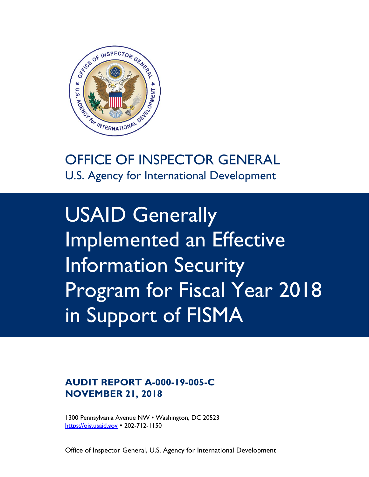

U.S. Agency for International Development

USAID Generally Implemented an Effective Information Security Program for Fiscal Year 2018 in Support of FISMA

# **AUDIT REPORT A-000-19-005-C NOVEMBER 21, 2018**

1300 Pennsylvania Avenue NW • Washington, DC 20523 [https://oig.usaid.gov](https://oig.usaid.gov/) • 202-712-1150

Office of Inspector General, U.S. Agency for International Development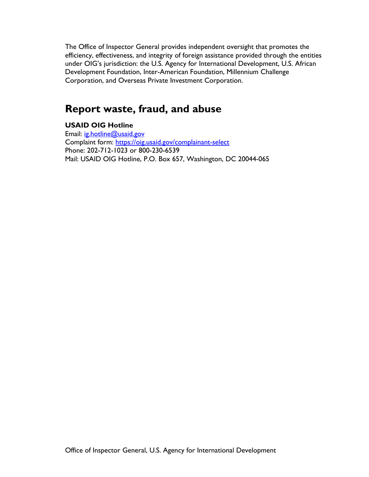The Office of Inspector General provides independent oversight that promotes the efficiency, effectiveness, and integrity of foreign assistance provided through the entities under OIG's jurisdiction: the U.S. Agency for International Development, U.S. African Development Foundation, Inter-American Foundation, Millennium Challenge Corporation, and Overseas Private Investment Corporation.

# **Report waste, fraud, and abuse**

### **USAID OIG Hotline**

Email: [ig.hotline@usaid.gov](mailto:ig.hotline@usaid.gov) Complaint form:<https://oig.usaid.gov/complainant-select> Phone: 202-712-1023 or 800-230-6539 Mail: USAID OIG Hotline, P.O. Box 657, Washington, DC 20044-065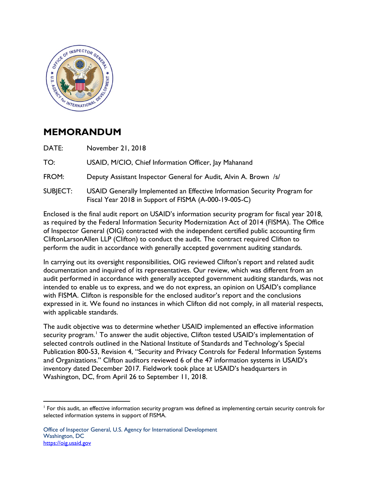

# **MEMORANDUM**

DATE: November 21, 2018 TO: USAID, M/CIO, Chief Information Officer, Jay Mahanand

FROM: Deputy Assistant Inspector General for Audit, Alvin A. Brown /s/

SUBJECT: USAID Generally Implemented an Effective Information Security Program for Fiscal Year 2018 in Support of FISMA (A-000-19-005-C)

Enclosed is the final audit report on USAID's information security program for fiscal year 2018, as required by the Federal Information Security Modernization Act of 2014 (FISMA). The Office of Inspector General (OIG) contracted with the independent certified public accounting firm CliftonLarsonAllen LLP (Clifton) to conduct the audit. The contract required Clifton to perform the audit in accordance with generally accepted government auditing standards.

In carrying out its oversight responsibilities, OIG reviewed Clifton's report and related audit documentation and inquired of its representatives. Our review, which was different from an audit performed in accordance with generally accepted government auditing standards, was not intended to enable us to express, and we do not express, an opinion on USAID's compliance with FISMA. Clifton is responsible for the enclosed auditor's report and the conclusions expressed in it. We found no instances in which Clifton did not comply, in all material respects, with applicable standards.

The audit objective was to determine whether USAID implemented an effective information security program.<sup>[1](#page-2-0)</sup> To answer the audit objective, Clifton tested USAID's implementation of selected controls outlined in the National Institute of Standards and Technology's Special Publication 800-53, Revision 4, "Security and Privacy Controls for Federal Information Systems and Organizations." Clifton auditors reviewed 6 of the 47 information systems in USAID's inventory dated December 2017. Fieldwork took place at USAID's headquarters in Washington, DC, from April 26 to September 11, 2018.

<span id="page-2-0"></span><sup>&</sup>lt;sup>1</sup> For this audit, an effective information security program was defined as implementing certain security controls for selected information systems in support of FISMA.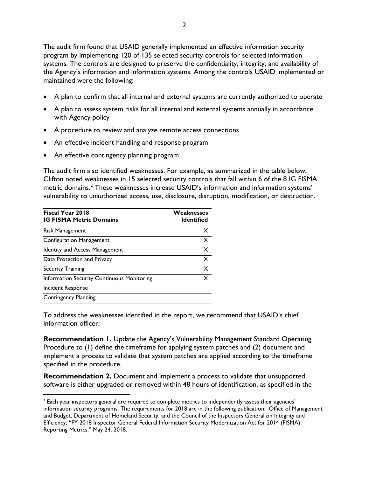The audit firm found that USAID generally implemented an effective information security program by implementing 120 of 135 selected security controls for selected information systems. The controls are designed to preserve the confidentiality, integrity, and availability of the Agency's information and information systems. Among the controls USAID implemented or maintained were the following:

- A plan to confirm that all internal and external systems are currently authorized to operate
- A plan to assess system risks for all internal and external systems annually in accordance with Agency policy
- A procedure to review and analyze remote access connections
- An effective incident handling and response program
- An effective contingency planning program

The audit firm also identified weaknesses. For example, as summarized in the table below, Clifton noted weaknesses in 15 selected security controls that fall within 6 of the 8 IG FISMA metric domains.<sup>[2](#page-3-0)</sup> These weaknesses increase USAID's information and information systems' vulnerability to unauthorized access, use, disclosure, disruption, modification, or destruction.

| Fiscal Year 2018<br><b>IG FISMA Metric Domains</b> | Weaknesses<br>Identified  |  |
|----------------------------------------------------|---------------------------|--|
| Risk Management                                    | x                         |  |
| <b>Configuration Management</b>                    | X                         |  |
| <b>Identity and Access Management</b>              | X                         |  |
| Data Protection and Privacy                        | $\boldsymbol{\mathsf{x}}$ |  |
| Security Training                                  | X                         |  |
| Information Security Continuous Monitoring         | $\times$                  |  |
| Incident Response                                  |                           |  |
| <b>Contingency Planning</b>                        |                           |  |

To address the weaknesses identified in the report, we recommend that USAID's chief information officer:

**Recommendation 1.** Update the Agency's Vulnerability Management Standard Operating Procedure to (1) define the timeframe for applying system patches and (2) document and implement a process to validate that system patches are applied according to the timeframe specified in the procedure.

**Recommendation 2.** Document and implement a process to validate that unsupported software is either upgraded or removed within 48 hours of identification, as specified in the

<span id="page-3-0"></span> $<sup>2</sup>$  Each year inspectors general are required to complete metrics to independently assess their agencies'</sup> information security programs. The requirements for 2018 are in the following publication: Office of Management and Budget, Department of Homeland Security, and the Council of the Inspectors General on Integrity and Efficiency, "FY 2018 Inspector General Federal Information Security Modernization Act for 2014 (FISMA) Reporting Metrics," May 24, 2018.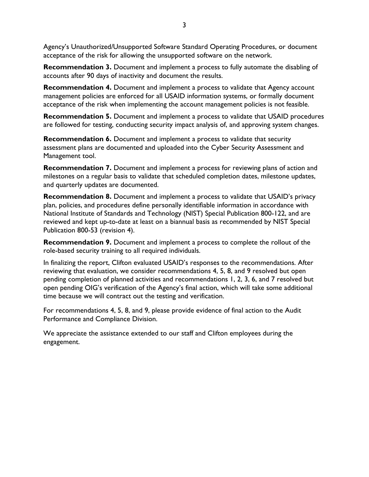Agency's Unauthorized/Unsupported Software Standard Operating Procedures, or document acceptance of the risk for allowing the unsupported software on the network.

**Recommendation 3.** Document and implement a process to fully automate the disabling of accounts after 90 days of inactivity and document the results.

**Recommendation 4.** Document and implement a process to validate that Agency account management policies are enforced for all USAID information systems, or formally document acceptance of the risk when implementing the account management policies is not feasible.

**Recommendation 5.** Document and implement a process to validate that USAID procedures are followed for testing, conducting security impact analysis of, and approving system changes.

**Recommendation 6.** Document and implement a process to validate that security assessment plans are documented and uploaded into the Cyber Security Assessment and Management tool.

**Recommendation 7.** Document and implement a process for reviewing plans of action and milestones on a regular basis to validate that scheduled completion dates, milestone updates, and quarterly updates are documented.

**Recommendation 8.** Document and implement a process to validate that USAID's privacy plan, policies, and procedures define personally identifiable information in accordance with National Institute of Standards and Technology (NIST) Special Publication 800-122, and are reviewed and kept up-to-date at least on a biannual basis as recommended by NIST Special Publication 800-53 (revision 4).

**Recommendation 9.** Document and implement a process to complete the rollout of the role-based security training to all required individuals.

In finalizing the report, Clifton evaluated USAID's responses to the recommendations. After reviewing that evaluation, we consider recommendations 4, 5, 8, and 9 resolved but open pending completion of planned activities and recommendations 1, 2, 3, 6, and 7 resolved but open pending OIG's verification of the Agency's final action, which will take some additional time because we will contract out the testing and verification.

For recommendations 4, 5, 8, and 9, please provide evidence of final action to the Audit Performance and Compliance Division.

We appreciate the assistance extended to our staff and Clifton employees during the engagement.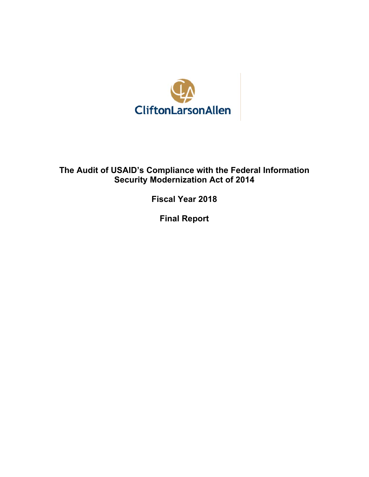

## **The Audit of USAID's Compliance with the Federal Information Security Modernization Act of 2014**

**Fiscal Year 2018** 

**Final Report**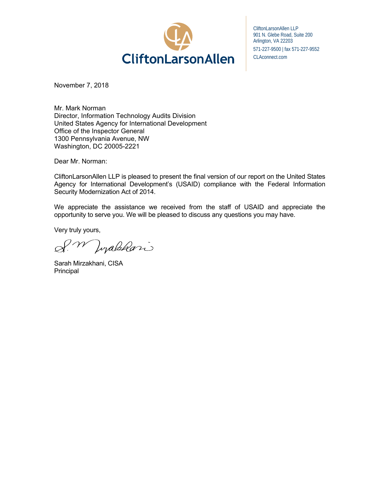

CliftonLarsonAllen LLP 901 N. Glebe Road, Suite 200 Arlington, VA 22203 571-227-9500 | fax 571-227-9552 CLAconnect.com

November 7, 2018

Mr. Mark Norman Director, Information Technology Audits Division United States Agency for International Development Office of the Inspector General 1300 Pennsylvania Avenue, NW Washington, DC 20005-2221

Dear Mr. Norman:

CliftonLarsonAllen LLP is pleased to present the final version of our report on the United States Agency for International Development's (USAID) compliance with the Federal Information Security Modernization Act of 2014.

We appreciate the assistance we received from the staff of USAID and appreciate the opportunity to serve you. We will be pleased to discuss any questions you may have.

Very truly yours,

W Jopabkari

Sarah Mirzakhani, CISA Principal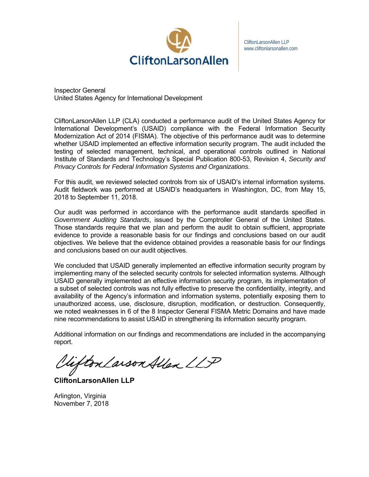

CliftonLarsonAllen LLP www.cliftonlarsonallen.com

Inspector General United States Agency for International Development

CliftonLarsonAllen LLP (CLA) conducted a performance audit of the United States Agency for International Development's (USAID) compliance with the Federal Information Security Modernization Act of 2014 (FISMA). The objective of this performance audit was to determine whether USAID implemented an effective information security program. The audit included the testing of selected management, technical, and operational controls outlined in National Institute of Standards and Technology's Special Publication 800-53, Revision 4, *Security and Privacy Controls for Federal Information Systems and Organizations*.

For this audit, we reviewed selected controls from six of USAID's internal information systems. Audit fieldwork was performed at USAID's headquarters in Washington, DC, from May 15, 2018 to September 11, 2018.

Our audit was performed in accordance with the performance audit standards specified in *Government Auditing Standards*, issued by the Comptroller General of the United States. Those standards require that we plan and perform the audit to obtain sufficient, appropriate evidence to provide a reasonable basis for our findings and conclusions based on our audit objectives. We believe that the evidence obtained provides a reasonable basis for our findings and conclusions based on our audit objectives.

We concluded that USAID generally implemented an effective information security program by implementing many of the selected security controls for selected information systems. Although USAID generally implemented an effective information security program, its implementation of a subset of selected controls was not fully effective to preserve the confidentiality, integrity, and availability of the Agency's information and information systems, potentially exposing them to unauthorized access, use, disclosure, disruption, modification, or destruction. Consequently, we noted weaknesses in 6 of the 8 Inspector General FISMA Metric Domains and have made nine recommendations to assist USAID in strengthening its information security program.

Additional information on our findings and recommendations are included in the accompanying report.

lifton Larson Allen LLP

**CliftonLarsonAllen LLP** 

Arlington, Virginia November 7, 2018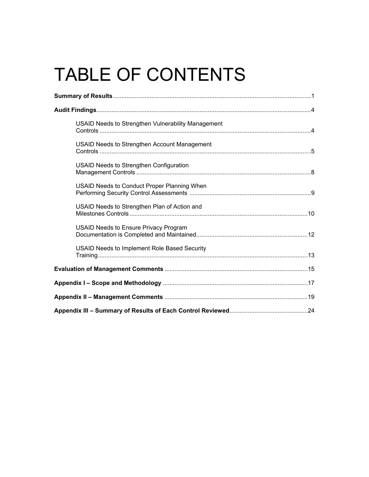# TABLE OF CONTENTS

| USAID Needs to Strengthen Vulnerability Management |  |
|----------------------------------------------------|--|
| USAID Needs to Strengthen Account Management       |  |
| USAID Needs to Strengthen Configuration            |  |
| USAID Needs to Conduct Proper Planning When        |  |
| USAID Needs to Strengthen Plan of Action and       |  |
| USAID Needs to Ensure Privacy Program              |  |
| USAID Needs to Implement Role Based Security       |  |
|                                                    |  |
|                                                    |  |
|                                                    |  |
|                                                    |  |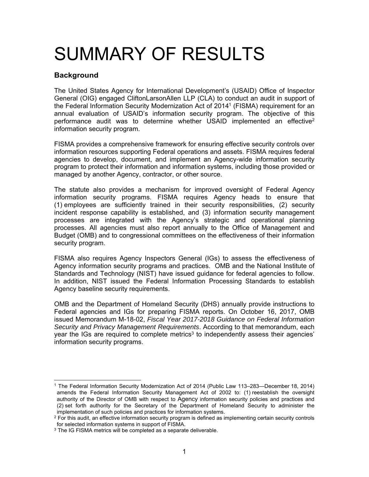# SUMMARY OF RESULTS

#### **Background**

The United States Agency for International Development's (USAID) Office of Inspector General (OIG) engaged CliftonLarsonAllen LLP (CLA) to conduct an audit in support of the Federal Information Security Modernization Act of 20141 (FISMA) requirement for an annual evaluation of USAID's information security program. The objective of this performance audit was to determine whether USAID implemented an effective<sup>2</sup> information security program.

FISMA provides a comprehensive framework for ensuring effective security controls over information resources supporting Federal operations and assets. FISMA requires federal agencies to develop, document, and implement an Agency-wide information security program to protect their information and information systems, including those provided or managed by another Agency, contractor, or other source.

The statute also provides a mechanism for improved oversight of Federal Agency information security programs. FISMA requires Agency heads to ensure that (1) employees are sufficiently trained in their security responsibilities, (2) security incident response capability is established, and (3) information security management processes are integrated with the Agency's strategic and operational planning processes. All agencies must also report annually to the Office of Management and Budget (OMB) and to congressional committees on the effectiveness of their information security program.

FISMA also requires Agency Inspectors General (IGs) to assess the effectiveness of Agency information security programs and practices. OMB and the National Institute of Standards and Technology (NIST) have issued guidance for federal agencies to follow. In addition, NIST issued the Federal Information Processing Standards to establish Agency baseline security requirements.

OMB and the Department of Homeland Security (DHS) annually provide instructions to Federal agencies and IGs for preparing FISMA reports. On October 16, 2017, OMB issued Memorandum M-18-02, *Fiscal Year 2017-2018 Guidance on Federal Information Security and Privacy Management Requirements*. According to that memorandum, each year the IGs are required to complete metrics<sup>3</sup> to independently assess their agencies' information security programs.

<sup>-</sup>1 The Federal Information Security Modernization Act of 2014 (Public Law 113–283—December 18, 2014) amends the Federal Information Security Management Act of 2002 to: (1) reestablish the oversight authority of the Director of OMB with respect to Agency information security policies and practices and (2) set forth authority for the Secretary of the Department of Homeland Security to administer the implementation of such policies and practices for information systems.

 $2$  For this audit, an effective information security program is defined as implementing certain security controls for selected information systems in support of FISMA.

<sup>&</sup>lt;sup>3</sup> The IG FISMA metrics will be completed as a separate deliverable.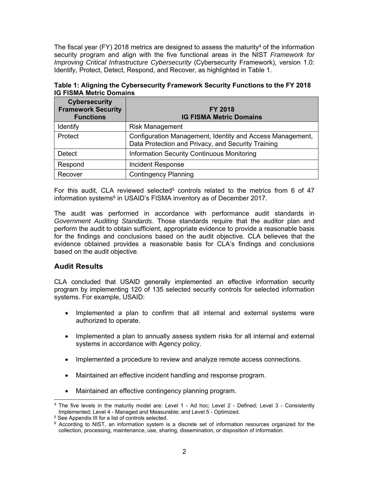The fiscal year (FY) 2018 metrics are designed to assess the maturity<sup>4</sup> of the information security program and align with the five functional areas in the NIST *Framework for Improving Critical Infrastructure Cybersecurity* (Cybersecurity Framework), version 1.0: Identify, Protect, Detect, Respond, and Recover, as highlighted in Table 1.

| Table 1: Aligning the Cybersecurity Framework Security Functions to the FY 2018 |  |
|---------------------------------------------------------------------------------|--|
| <b>IG FISMA Metric Domains</b>                                                  |  |

| <b>Cybersecurity</b><br><b>Framework Security</b><br><b>Functions</b> | <b>FY 2018</b><br><b>IG FISMA Metric Domains</b>                                                                |
|-----------------------------------------------------------------------|-----------------------------------------------------------------------------------------------------------------|
| Identify                                                              | <b>Risk Management</b>                                                                                          |
| Protect                                                               | Configuration Management, Identity and Access Management,<br>Data Protection and Privacy, and Security Training |
| <b>Detect</b>                                                         | <b>Information Security Continuous Monitoring</b>                                                               |
| Respond                                                               | Incident Response                                                                                               |
| Recover                                                               | <b>Contingency Planning</b>                                                                                     |

For this audit, CLA reviewed selected<sup>5</sup> controls related to the metrics from 6 of 47 information systems<sup>6</sup> in USAID's FISMA inventory as of December 2017.

The audit was performed in accordance with performance audit standards in *Government Auditing Standards*. Those standards require that the auditor plan and perform the audit to obtain sufficient, appropriate evidence to provide a reasonable basis for the findings and conclusions based on the audit objective. CLA believes that the evidence obtained provides a reasonable basis for CLA's findings and conclusions based on the audit objective.

#### **Audit Results**

CLA concluded that USAID generally implemented an effective information security program by implementing 120 of 135 selected security controls for selected information systems. For example, USAID:

- Implemented a plan to confirm that all internal and external systems were authorized to operate.
- Implemented a plan to annually assess system risks for all internal and external systems in accordance with Agency policy.
- Implemented a procedure to review and analyze remote access connections.
- Maintained an effective incident handling and response program.
- Maintained an effective contingency planning program.

<sup>-</sup>4 The five levels in the maturity model are: Level 1 - Ad hoc; Level 2 - Defined; Level 3 - Consistently Implemented; Level 4 - Managed and Measurable; and Level 5 - Optimized.<br><sup>5</sup> See Appendix III for a list of controls selected.

<sup>&</sup>lt;sup>6</sup> According to NIST, an information system is a discrete set of information resources organized for the collection, processing, maintenance, use, sharing, dissemination, or disposition of information.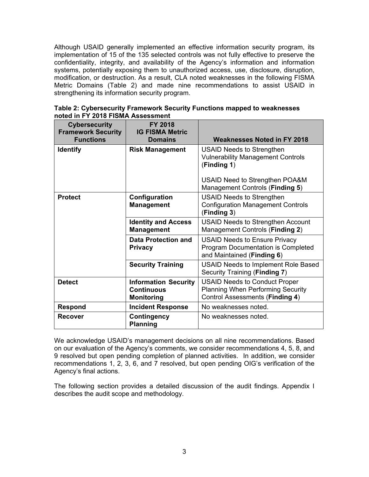Although USAID generally implemented an effective information security program, its implementation of 15 of the 135 selected controls was not fully effective to preserve the confidentiality, integrity, and availability of the Agency's information and information systems, potentially exposing them to unauthorized access, use, disclosure, disruption, modification, or destruction. As a result, CLA noted weaknesses in the following FISMA Metric Domains (Table 2) and made nine recommendations to assist USAID in strengthening its information security program.

| <b>Cybersecurity</b><br><b>Framework Security</b><br><b>Functions</b> | <b>FY 2018</b><br><b>IG FISMA Metric</b><br><b>Domains</b>            | <b>Weaknesses Noted in FY 2018</b>                                                                                         |
|-----------------------------------------------------------------------|-----------------------------------------------------------------------|----------------------------------------------------------------------------------------------------------------------------|
| <b>Identify</b>                                                       | <b>Risk Management</b>                                                | <b>USAID Needs to Strengthen</b><br><b>Vulnerability Management Controls</b><br>(Finding 1)                                |
|                                                                       |                                                                       | USAID Need to Strengthen POA&M<br>Management Controls (Finding 5)                                                          |
| <b>Protect</b>                                                        | Configuration<br><b>Management</b>                                    | <b>USAID Needs to Strengthen</b><br><b>Configuration Management Controls</b><br>(Finding 3)                                |
|                                                                       | <b>Identity and Access</b><br><b>Management</b>                       | <b>USAID Needs to Strengthen Account</b><br>Management Controls (Finding 2)                                                |
|                                                                       | <b>Data Protection and</b><br><b>Privacy</b>                          | <b>USAID Needs to Ensure Privacy</b><br><b>Program Documentation is Completed</b><br>and Maintained (Finding 6)            |
|                                                                       | <b>Security Training</b>                                              | <b>USAID Needs to Implement Role Based</b><br>Security Training (Finding 7)                                                |
| <b>Detect</b>                                                         | <b>Information Security</b><br><b>Continuous</b><br><b>Monitoring</b> | <b>USAID Needs to Conduct Proper</b><br><b>Planning When Performing Security</b><br><b>Control Assessments (Finding 4)</b> |
| <b>Respond</b>                                                        | <b>Incident Response</b>                                              | No weaknesses noted.                                                                                                       |
| <b>Recover</b>                                                        | Contingency<br><b>Planning</b>                                        | No weaknesses noted.                                                                                                       |

**Table 2: Cybersecurity Framework Security Functions mapped to weaknesses noted in FY 2018 FISMA Assessment**

We acknowledge USAID's management decisions on all nine recommendations. Based on our evaluation of the Agency's comments, we consider recommendations 4, 5, 8, and 9 resolved but open pending completion of planned activities. In addition, we consider recommendations 1, 2, 3, 6, and 7 resolved, but open pending OIG's verification of the Agency's final actions.

The following section provides a detailed discussion of the audit findings. Appendix I describes the audit scope and methodology.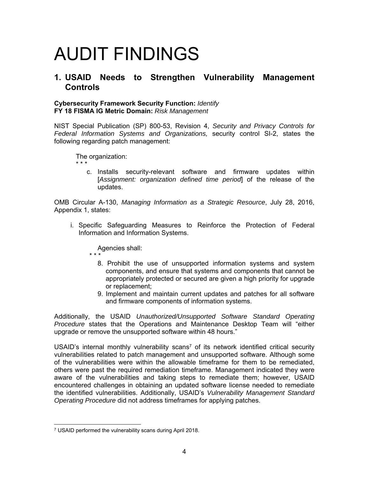# AUDIT FINDINGS

### **1. USAID Needs to Strengthen Vulnerability Management Controls**

#### **Cybersecurity Framework Security Function:** *Identify* **FY 18 FISMA IG Metric Domain:** *Risk Management*

NIST Special Publication (SP) 800-53, Revision 4, *Security and Privacy Controls for Federal Information Systems and Organizations,* security control SI-2, states the following regarding patch management:

The organization: \* \* \*

> c. Installs security-relevant software and firmware updates within [*Assignment: organization defined time period*] of the release of the updates.

OMB Circular A-130, *Managing Information as a Strategic Resource*, July 28, 2016, Appendix 1, states:

i. Specific Safeguarding Measures to Reinforce the Protection of Federal Information and Information Systems.

Agencies shall: \* \* \*

- 8. Prohibit the use of unsupported information systems and system components, and ensure that systems and components that cannot be appropriately protected or secured are given a high priority for upgrade or replacement;
	- 9. Implement and maintain current updates and patches for all software and firmware components of information systems.

Additionally, the USAID *Unauthorized/Unsupported Software Standard Operating Procedure* states that the Operations and Maintenance Desktop Team will "either upgrade or remove the unsupported software within 48 hours."

USAID's internal monthly vulnerability scans<sup>7</sup> of its network identified critical security vulnerabilities related to patch management and unsupported software. Although some of the vulnerabilities were within the allowable timeframe for them to be remediated, others were past the required remediation timeframe. Management indicated they were aware of the vulnerabilities and taking steps to remediate them; however, USAID encountered challenges in obtaining an updated software license needed to remediate the identified vulnerabilities. Additionally, USAID's *Vulnerability Management Standard Operating Procedure* did not address timeframes for applying patches.

 7 USAID performed the vulnerability scans during April 2018.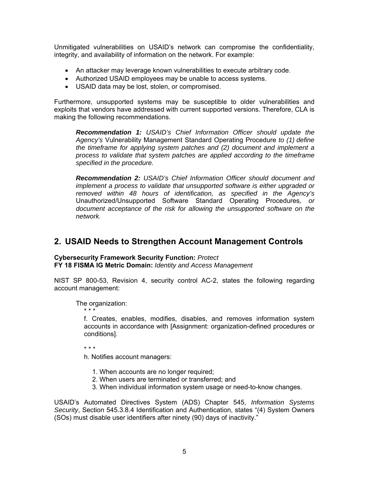Unmitigated vulnerabilities on USAID's network can compromise the confidentiality, integrity, and availability of information on the network. For example:

- An attacker may leverage known vulnerabilities to execute arbitrary code.
- Authorized USAID employees may be unable to access systems.
- USAID data may be lost, stolen, or compromised.

Furthermore, unsupported systems may be susceptible to older vulnerabilities and exploits that vendors have addressed with current supported versions. Therefore, CLA is making the following recommendations.

*Recommendation 1: USAID's Chief Information Officer should update the Agency's* Vulnerability Management Standard Operating Procedure *to (1) define the timeframe for applying system patches and (2) document and implement a process to validate that system patches are applied according to the timeframe specified in the procedure.* 

*Recommendation 2: USAID's Chief Information Officer should document and implement a process to validate that unsupported software is either upgraded or removed within 48 hours of identification, as specified in the Agency's*  Unauthorized/Unsupported Software Standard Operating Procedures*, or document acceptance of the risk for allowing the unsupported software on the network.* 

### **2. USAID Needs to Strengthen Account Management Controls**

#### **Cybersecurity Framework Security Function:** *Protect*

**FY 18 FISMA IG Metric Domain:** *Identity and Access Management*

NIST SP 800-53, Revision 4, security control AC-2, states the following regarding account management:

The organization:

\* \* \*

f. Creates, enables, modifies, disables, and removes information system accounts in accordance with [Assignment: organization-defined procedures or conditions].

\* \* \*

h. Notifies account managers:

- 1. When accounts are no longer required;
- 2. When users are terminated or transferred; and
- 3. When individual information system usage or need-to-know changes.

USAID's Automated Directives System (ADS) Chapter 545, *Information Systems Security*, Section 545.3.8.4 Identification and Authentication, states "(4) System Owners (SOs) must disable user identifiers after ninety (90) days of inactivity."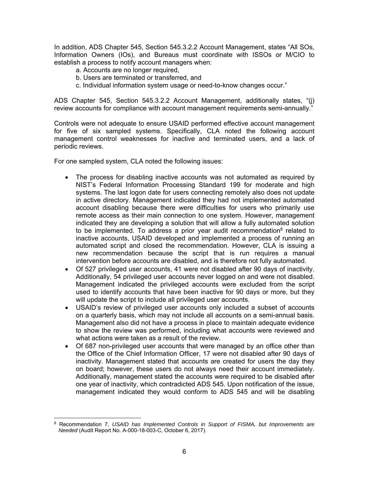In addition, ADS Chapter 545, Section 545.3.2.2 Account Management, states "All SOs, Information Owners (IOs), and Bureaus must coordinate with ISSOs or M/CIO to establish a process to notify account managers when:

- a. Accounts are no longer required,
- b. Users are terminated or transferred, and
- c. Individual information system usage or need-to-know changes occur."

ADS Chapter 545, Section 545.3.2.2 Account Management, additionally states, "(j) review accounts for compliance with account management requirements semi-annually."

Controls were not adequate to ensure USAID performed effective account management for five of six sampled systems. Specifically, CLA noted the following account management control weaknesses for inactive and terminated users, and a lack of periodic reviews.

For one sampled system, CLA noted the following issues:

- The process for disabling inactive accounts was not automated as required by NIST's Federal Information Processing Standard 199 for moderate and high systems. The last logon date for users connecting remotely also does not update in active directory. Management indicated they had not implemented automated account disabling because there were difficulties for users who primarily use remote access as their main connection to one system. However, management indicated they are developing a solution that will allow a fully automated solution to be implemented. To address a prior year audit recommendation<sup>8</sup> related to inactive accounts, USAID developed and implemented a process of running an automated script and closed the recommendation. However, CLA is issuing a new recommendation because the script that is run requires a manual intervention before accounts are disabled, and is therefore not fully automated.
- Of 527 privileged user accounts, 41 were not disabled after 90 days of inactivity. Additionally, 54 privileged user accounts never logged on and were not disabled. Management indicated the privileged accounts were excluded from the script used to identify accounts that have been inactive for 90 days or more, but they will update the script to include all privileged user accounts.
- USAID's review of privileged user accounts only included a subset of accounts on a quarterly basis, which may not include all accounts on a semi-annual basis. Management also did not have a process in place to maintain adequate evidence to show the review was performed, including what accounts were reviewed and what actions were taken as a result of the review.
- Of 687 non-privileged user accounts that were managed by an office other than the Office of the Chief Information Officer, 17 were not disabled after 90 days of inactivity. Management stated that accounts are created for users the day they on board; however, these users do not always need their account immediately. Additionally, management stated the accounts were required to be disabled after one year of inactivity, which contradicted ADS 545. Upon notification of the issue, management indicated they would conform to ADS 545 and will be disabling

 8 Recommendation 7, *USAID has Implemented Controls in Support of FISMA, but Improvements are Needed* (Audit Report No. A-000-18-003-C, October 6, 2017).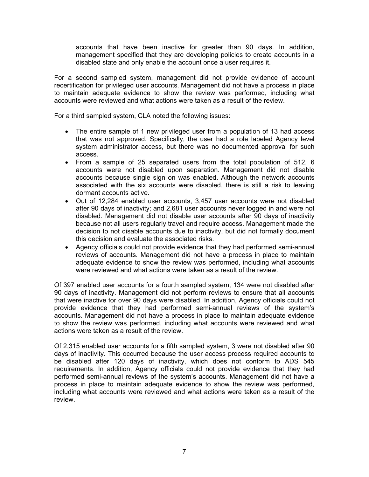accounts that have been inactive for greater than 90 days. In addition, management specified that they are developing policies to create accounts in a disabled state and only enable the account once a user requires it.

For a second sampled system, management did not provide evidence of account recertification for privileged user accounts. Management did not have a process in place to maintain adequate evidence to show the review was performed, including what accounts were reviewed and what actions were taken as a result of the review.

For a third sampled system, CLA noted the following issues:

- The entire sample of 1 new privileged user from a population of 13 had access that was not approved. Specifically, the user had a role labeled Agency level system administrator access, but there was no documented approval for such access.
- From a sample of 25 separated users from the total population of 512, 6 accounts were not disabled upon separation. Management did not disable accounts because single sign on was enabled. Although the network accounts associated with the six accounts were disabled, there is still a risk to leaving dormant accounts active.
- Out of 12,284 enabled user accounts, 3,457 user accounts were not disabled after 90 days of inactivity; and 2,681 user accounts never logged in and were not disabled. Management did not disable user accounts after 90 days of inactivity because not all users regularly travel and require access. Management made the decision to not disable accounts due to inactivity, but did not formally document this decision and evaluate the associated risks.
- Agency officials could not provide evidence that they had performed semi-annual reviews of accounts. Management did not have a process in place to maintain adequate evidence to show the review was performed, including what accounts were reviewed and what actions were taken as a result of the review.

Of 397 enabled user accounts for a fourth sampled system, 134 were not disabled after 90 days of inactivity. Management did not perform reviews to ensure that all accounts that were inactive for over 90 days were disabled. In addition, Agency officials could not provide evidence that they had performed semi-annual reviews of the system's accounts. Management did not have a process in place to maintain adequate evidence to show the review was performed, including what accounts were reviewed and what actions were taken as a result of the review.

Of 2,315 enabled user accounts for a fifth sampled system, 3 were not disabled after 90 days of inactivity. This occurred because the user access process required accounts to be disabled after 120 days of inactivity, which does not conform to ADS 545 requirements. In addition, Agency officials could not provide evidence that they had performed semi-annual reviews of the system's accounts. Management did not have a process in place to maintain adequate evidence to show the review was performed, including what accounts were reviewed and what actions were taken as a result of the review.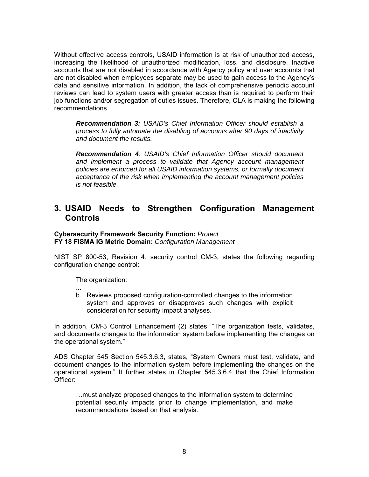Without effective access controls, USAID information is at risk of unauthorized access, increasing the likelihood of unauthorized modification, loss, and disclosure. Inactive accounts that are not disabled in accordance with Agency policy and user accounts that are not disabled when employees separate may be used to gain access to the Agency's data and sensitive information. In addition, the lack of comprehensive periodic account reviews can lead to system users with greater access than is required to perform their job functions and/or segregation of duties issues. Therefore, CLA is making the following recommendations.

*Recommendation 3: USAID's Chief Information Officer should establish a process to fully automate the disabling of accounts after 90 days of inactivity and document the results.* 

*Recommendation 4: USAID's Chief Information Officer should document and implement a process to validate that Agency account management policies are enforced for all USAID information systems, or formally document acceptance of the risk when implementing the account management policies is not feasible.*

### **3. USAID Needs to Strengthen Configuration Management Controls**

#### **Cybersecurity Framework Security Function:** *Protect* **FY 18 FISMA IG Metric Domain:** *Configuration Management*

NIST SP 800-53, Revision 4, security control CM-3, states the following regarding configuration change control:

The organization:

... b. Reviews proposed configuration-controlled changes to the information system and approves or disapproves such changes with explicit consideration for security impact analyses.

In addition, CM-3 Control Enhancement (2) states: "The organization tests, validates, and documents changes to the information system before implementing the changes on the operational system."

ADS Chapter 545 Section 545.3.6.3, states, "System Owners must test, validate, and document changes to the information system before implementing the changes on the operational system." It further states in Chapter 545.3.6.4 that the Chief Information Officer:

…must analyze proposed changes to the information system to determine potential security impacts prior to change implementation, and make recommendations based on that analysis.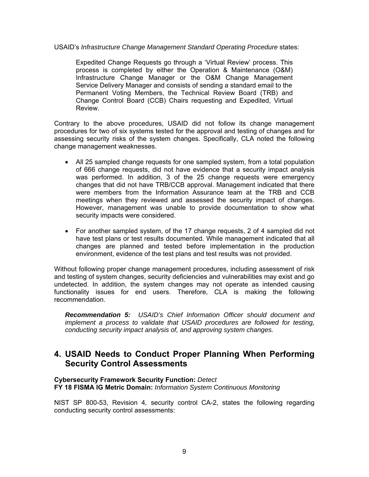#### USAID's *Infrastructure Change Management Standard Operating Procedure* states:

Expedited Change Requests go through a 'Virtual Review' process. This process is completed by either the Operation & Maintenance (O&M) Infrastructure Change Manager or the O&M Change Management Service Delivery Manager and consists of sending a standard email to the Permanent Voting Members, the Technical Review Board (TRB) and Change Control Board (CCB) Chairs requesting and Expedited, Virtual Review.

Contrary to the above procedures, USAID did not follow its change management procedures for two of six systems tested for the approval and testing of changes and for assessing security risks of the system changes. Specifically, CLA noted the following change management weaknesses.

- All 25 sampled change requests for one sampled system, from a total population of 666 change requests, did not have evidence that a security impact analysis was performed. In addition, 3 of the 25 change requests were emergency changes that did not have TRB/CCB approval. Management indicated that there were members from the Information Assurance team at the TRB and CCB meetings when they reviewed and assessed the security impact of changes. However, management was unable to provide documentation to show what security impacts were considered.
- For another sampled system, of the 17 change requests, 2 of 4 sampled did not have test plans or test results documented. While management indicated that all changes are planned and tested before implementation in the production environment, evidence of the test plans and test results was not provided.

Without following proper change management procedures, including assessment of risk and testing of system changes, security deficiencies and vulnerabilities may exist and go undetected. In addition, the system changes may not operate as intended causing functionality issues for end users. Therefore, CLA is making the following recommendation.

*Recommendation 5: USAID's Chief Information Officer should document and implement a process to validate that USAID procedures are followed for testing, conducting security impact analysis of, and approving system changes.* 

## **4. USAID Needs to Conduct Proper Planning When Performing Security Control Assessments**

#### **Cybersecurity Framework Security Function:** *Detect*

**FY 18 FISMA IG Metric Domain:** *Information System Continuous Monitoring*

NIST SP 800-53, Revision 4*,* security control CA-2, states the following regarding conducting security control assessments: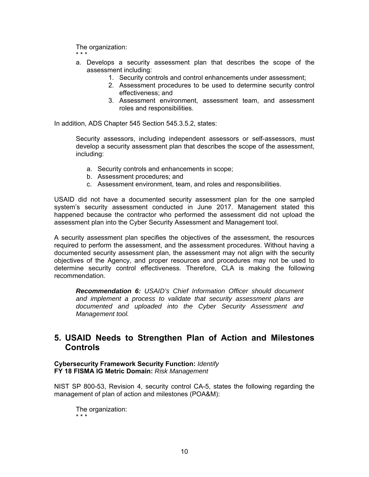The organization:

\* \* \*

- a. Develops a security assessment plan that describes the scope of the assessment including:
	- 1. Security controls and control enhancements under assessment;
	- 2. Assessment procedures to be used to determine security control effectiveness; and
	- 3. Assessment environment, assessment team, and assessment roles and responsibilities.

In addition, ADS Chapter 545 Section 545.3.5.2, states:

Security assessors, including independent assessors or self-assessors, must develop a security assessment plan that describes the scope of the assessment, including:

- a. Security controls and enhancements in scope;
- b. Assessment procedures; and
- c. Assessment environment, team, and roles and responsibilities.

USAID did not have a documented security assessment plan for the one sampled system's security assessment conducted in June 2017. Management stated this happened because the contractor who performed the assessment did not upload the assessment plan into the Cyber Security Assessment and Management tool.

A security assessment plan specifies the objectives of the assessment, the resources required to perform the assessment, and the assessment procedures. Without having a documented security assessment plan, the assessment may not align with the security objectives of the Agency, and proper resources and procedures may not be used to determine security control effectiveness. Therefore, CLA is making the following recommendation.

*Recommendation 6: USAID's Chief Information Officer should document and implement a process to validate that security assessment plans are documented and uploaded into the Cyber Security Assessment and Management tool.* 

## **5. USAID Needs to Strengthen Plan of Action and Milestones Controls**

#### **Cybersecurity Framework Security Function:** *Identify* **FY 18 FISMA IG Metric Domain:** *Risk Management*

NIST SP 800-53, Revision 4, security control CA-5, states the following regarding the management of plan of action and milestones (POA&M):

The organization: \* \* \*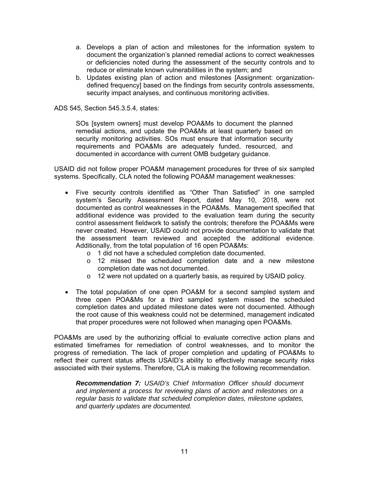- a. Develops a plan of action and milestones for the information system to document the organization's planned remedial actions to correct weaknesses or deficiencies noted during the assessment of the security controls and to reduce or eliminate known vulnerabilities in the system; and
- b. Updates existing plan of action and milestones [Assignment: organizationdefined frequency] based on the findings from security controls assessments, security impact analyses, and continuous monitoring activities.

ADS 545, Section 545.3.5.4, states:

SOs [system owners] must develop POA&Ms to document the planned remedial actions, and update the POA&Ms at least quarterly based on security monitoring activities. SOs must ensure that information security requirements and POA&Ms are adequately funded, resourced, and documented in accordance with current OMB budgetary guidance.

USAID did not follow proper POA&M management procedures for three of six sampled systems. Specifically, CLA noted the following POA&M management weaknesses:

- Five security controls identified as "Other Than Satisfied" in one sampled system's Security Assessment Report, dated May 10, 2018, were not documented as control weaknesses in the POA&Ms. Management specified that additional evidence was provided to the evaluation team during the security control assessment fieldwork to satisfy the controls; therefore the POA&Ms were never created. However, USAID could not provide documentation to validate that the assessment team reviewed and accepted the additional evidence. Additionally, from the total population of 16 open POA&Ms:
	- o 1 did not have a scheduled completion date documented.
	- o 12 missed the scheduled completion date and a new milestone completion date was not documented.
	- o 12 were not updated on a quarterly basis, as required by USAID policy.
- The total population of one open POA&M for a second sampled system and three open POA&Ms for a third sampled system missed the scheduled completion dates and updated milestone dates were not documented. Although the root cause of this weakness could not be determined, management indicated that proper procedures were not followed when managing open POA&Ms.

POA&Ms are used by the authorizing official to evaluate corrective action plans and estimated timeframes for remediation of control weaknesses, and to monitor the progress of remediation. The lack of proper completion and updating of POA&Ms to reflect their current status affects USAID's ability to effectively manage security risks associated with their systems. Therefore, CLA is making the following recommendation.

*Recommendation 7: USAID's Chief Information Officer should document and implement a process for reviewing plans of action and milestones on a regular basis to validate that scheduled completion dates, milestone updates, and quarterly updates are documented.*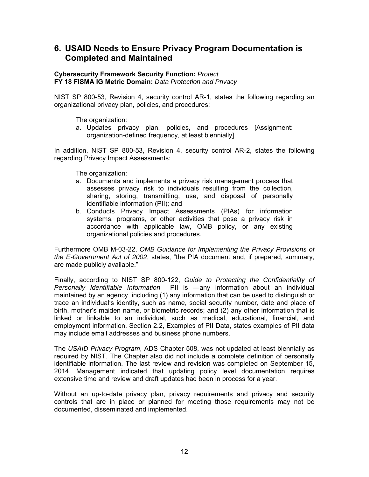## **6. USAID Needs to Ensure Privacy Program Documentation is Completed and Maintained**

#### **Cybersecurity Framework Security Function:** *Protect* **FY 18 FISMA IG Metric Domain:** *Data Protection and Privacy*

NIST SP 800-53, Revision 4, security control AR-1, states the following regarding an organizational privacy plan, policies, and procedures:

The organization:

a. Updates privacy plan, policies, and procedures [Assignment: organization-defined frequency, at least biennially].

In addition, NIST SP 800-53, Revision 4, security control AR-2, states the following regarding Privacy Impact Assessments:

The organization:

- a. Documents and implements a privacy risk management process that assesses privacy risk to individuals resulting from the collection, sharing, storing, transmitting, use, and disposal of personally identifiable information (PII); and
- b. Conducts Privacy Impact Assessments (PIAs) for information systems, programs, or other activities that pose a privacy risk in accordance with applicable law, OMB policy, or any existing organizational policies and procedures.

Furthermore OMB M-03-22, *OMB Guidance for Implementing the Privacy Provisions of the E-Government Act of 2002*, states, "the PIA document and, if prepared, summary, are made publicly available."

Finally, according to NIST SP 800-122, *Guide to Protecting the Confidentiality of Personally Identifiable Information* PII is ―any information about an individual maintained by an agency, including (1) any information that can be used to distinguish or trace an individual's identity, such as name, social security number, date and place of birth, mother's maiden name, or biometric records; and (2) any other information that is linked or linkable to an individual, such as medical, educational, financial, and employment information. Section 2.2, Examples of PII Data, states examples of PII data may include email addresses and business phone numbers.

The *USAID Privacy Program*, ADS Chapter 508, was not updated at least biennially as required by NIST. The Chapter also did not include a complete definition of personally identifiable information. The last review and revision was completed on September 15, 2014. Management indicated that updating policy level documentation requires extensive time and review and draft updates had been in process for a year.

Without an up-to-date privacy plan, privacy requirements and privacy and security controls that are in place or planned for meeting those requirements may not be documented, disseminated and implemented.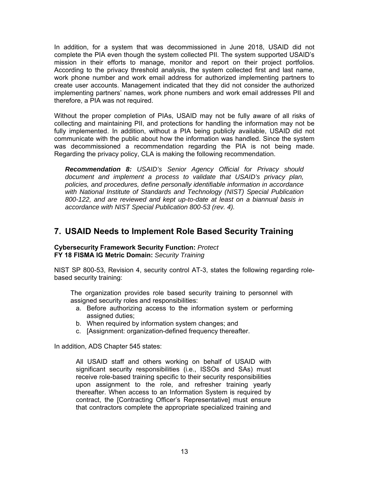In addition, for a system that was decommissioned in June 2018, USAID did not complete the PIA even though the system collected PII. The system supported USAID's mission in their efforts to manage, monitor and report on their project portfolios. According to the privacy threshold analysis, the system collected first and last name, work phone number and work email address for authorized implementing partners to create user accounts. Management indicated that they did not consider the authorized implementing partners' names, work phone numbers and work email addresses PII and therefore, a PIA was not required.

Without the proper completion of PIAs, USAID may not be fully aware of all risks of collecting and maintaining PII, and protections for handling the information may not be fully implemented. In addition, without a PIA being publicly available, USAID did not communicate with the public about how the information was handled. Since the system was decommissioned a recommendation regarding the PIA is not being made. Regarding the privacy policy, CLA is making the following recommendation.

*Recommendation 8: USAID's Senior Agency Official for Privacy should document and implement a process to validate that USAID's privacy plan, policies, and procedures, define personally identifiable information in accordance with National Institute of Standards and Technology (NIST) Special Publication 800-122, and are reviewed and kept up-to-date at least on a biannual basis in accordance with NIST Special Publication 800-53 (rev. 4).* 

## **7. USAID Needs to Implement Role Based Security Training**

#### **Cybersecurity Framework Security Function:** *Protect* **FY 18 FISMA IG Metric Domain:** *Security Training*

NIST SP 800-53, Revision 4, security control AT-3, states the following regarding rolebased security training:

 The organization provides role based security training to personnel with assigned security roles and responsibilities:

- a. Before authorizing access to the information system or performing assigned duties;
- b. When required by information system changes; and
- c. [Assignment: organization-defined frequency thereafter.

In addition, ADS Chapter 545 states:

All USAID staff and others working on behalf of USAID with significant security responsibilities (i.e., ISSOs and SAs) must receive role-based training specific to their security responsibilities upon assignment to the role, and refresher training yearly thereafter. When access to an Information System is required by contract, the [Contracting Officer's Representative] must ensure that contractors complete the appropriate specialized training and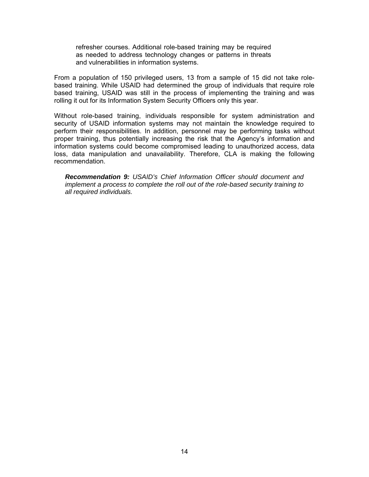refresher courses. Additional role-based training may be required as needed to address technology changes or patterns in threats and vulnerabilities in information systems.

From a population of 150 privileged users, 13 from a sample of 15 did not take rolebased training. While USAID had determined the group of individuals that require role based training, USAID was still in the process of implementing the training and was rolling it out for its Information System Security Officers only this year.

Without role-based training, individuals responsible for system administration and security of USAID information systems may not maintain the knowledge required to perform their responsibilities. In addition, personnel may be performing tasks without proper training, thus potentially increasing the risk that the Agency's information and information systems could become compromised leading to unauthorized access, data loss, data manipulation and unavailability. Therefore, CLA is making the following recommendation.

*Recommendation 9: USAID's Chief Information Officer should document and implement a process to complete the roll out of the role-based security training to all required individuals.*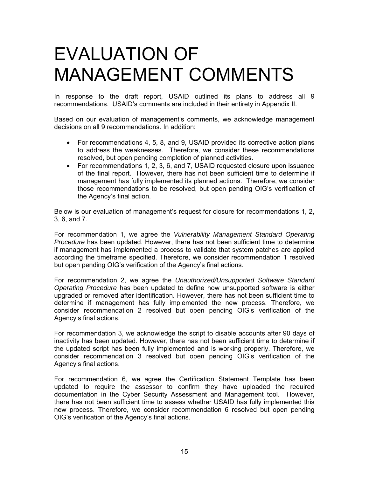# EVALUATION OF MANAGEMENT COMMENTS

In response to the draft report, USAID outlined its plans to address all 9 recommendations. USAID's comments are included in their entirety in Appendix II.

Based on our evaluation of management's comments, we acknowledge management decisions on all 9 recommendations. In addition:

- For recommendations 4, 5, 8, and 9, USAID provided its corrective action plans to address the weaknesses. Therefore, we consider these recommendations resolved, but open pending completion of planned activities.
- For recommendations 1, 2, 3, 6, and 7, USAID requested closure upon issuance of the final report. However, there has not been sufficient time to determine if management has fully implemented its planned actions. Therefore, we consider those recommendations to be resolved, but open pending OIG's verification of the Agency's final action.

Below is our evaluation of management's request for closure for recommendations 1, 2, 3, 6, and 7.

For recommendation 1, we agree the *Vulnerability Management Standard Operating Procedure* has been updated. However, there has not been sufficient time to determine if management has implemented a process to validate that system patches are applied according the timeframe specified. Therefore, we consider recommendation 1 resolved but open pending OIG's verification of the Agency's final actions.

For recommendation 2, we agree the *Unauthorized/Unsupported Software Standard Operating Procedure* has been updated to define how unsupported software is either upgraded or removed after identification. However, there has not been sufficient time to determine if management has fully implemented the new process. Therefore, we consider recommendation 2 resolved but open pending OIG's verification of the Agency's final actions.

For recommendation 3, we acknowledge the script to disable accounts after 90 days of inactivity has been updated. However, there has not been sufficient time to determine if the updated script has been fully implemented and is working properly. Therefore, we consider recommendation 3 resolved but open pending OIG's verification of the Agency's final actions.

For recommendation 6, we agree the Certification Statement Template has been updated to require the assessor to confirm they have uploaded the required documentation in the Cyber Security Assessment and Management tool. However, there has not been sufficient time to assess whether USAID has fully implemented this new process. Therefore, we consider recommendation 6 resolved but open pending OIG's verification of the Agency's final actions.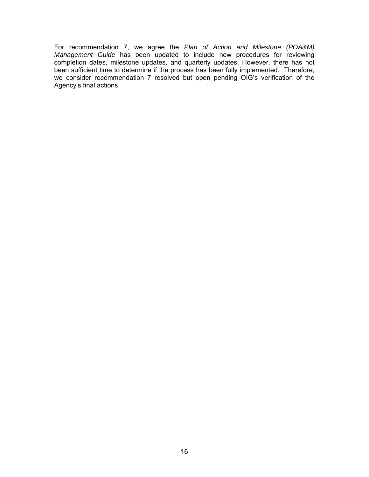For recommendation 7, we agree the *Plan of Action and Milestone (POA&M) Management Guide* has been updated to include new procedures for reviewing completion dates, milestone updates, and quarterly updates. However, there has not been sufficient time to determine if the process has been fully implemented. Therefore, we consider recommendation 7 resolved but open pending OIG's verification of the Agency's final actions.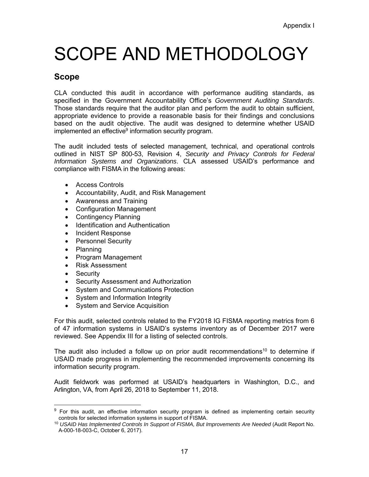# SCOPE AND METHODOLOGY

## **Scope**

CLA conducted this audit in accordance with performance auditing standards, as specified in the Government Accountability Office's *Government Auditing Standards*. Those standards require that the auditor plan and perform the audit to obtain sufficient, appropriate evidence to provide a reasonable basis for their findings and conclusions based on the audit objective. The audit was designed to determine whether USAID implemented an effective<sup>9</sup> information security program.

The audit included tests of selected management, technical, and operational controls outlined in NIST SP 800-53, Revision 4, *Security and Privacy Controls for Federal Information Systems and Organizations*. CLA assessed USAID's performance and compliance with FISMA in the following areas:

- Access Controls
- Accountability, Audit, and Risk Management
- Awareness and Training
- Configuration Management
- Contingency Planning
- Identification and Authentication
- Incident Response
- Personnel Security
- Planning
- Program Management
- Risk Assessment
- **Security**

-

- Security Assessment and Authorization
- System and Communications Protection
- System and Information Integrity
- System and Service Acquisition

For this audit, selected controls related to the FY2018 IG FISMA reporting metrics from 6 of 47 information systems in USAID's systems inventory as of December 2017 were reviewed. See Appendix III for a listing of selected controls.

The audit also included a follow up on prior audit recommendations<sup>10</sup> to determine if USAID made progress in implementing the recommended improvements concerning its information security program.

Audit fieldwork was performed at USAID's headquarters in Washington, D.C., and Arlington, VA, from April 26, 2018 to September 11, 2018.

<sup>&</sup>lt;sup>9</sup> For this audit, an effective information security program is defined as implementing certain security controls for selected information systems in support of FISMA.

<sup>10</sup> *USAID Has Implemented Controls In Support of FISMA, But Improvements Are Needed* (Audit Report No. A-000-18-003-C, October 6, 2017).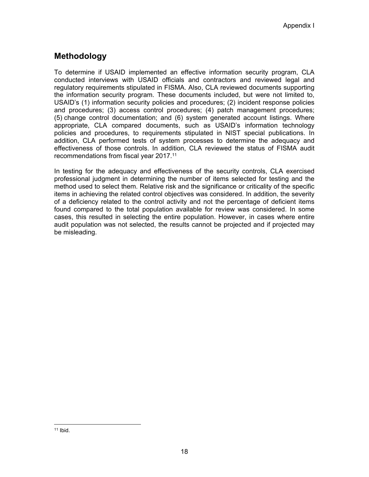## **Methodology**

To determine if USAID implemented an effective information security program, CLA conducted interviews with USAID officials and contractors and reviewed legal and regulatory requirements stipulated in FISMA. Also, CLA reviewed documents supporting the information security program. These documents included, but were not limited to, USAID's (1) information security policies and procedures; (2) incident response policies and procedures; (3) access control procedures; (4) patch management procedures; (5) change control documentation; and (6) system generated account listings. Where appropriate, CLA compared documents, such as USAID's information technology policies and procedures, to requirements stipulated in NIST special publications. In addition, CLA performed tests of system processes to determine the adequacy and effectiveness of those controls. In addition, CLA reviewed the status of FISMA audit recommendations from fiscal year 2017.<sup>11</sup>

In testing for the adequacy and effectiveness of the security controls, CLA exercised professional judgment in determining the number of items selected for testing and the method used to select them. Relative risk and the significance or criticality of the specific items in achieving the related control objectives was considered. In addition, the severity of a deficiency related to the control activity and not the percentage of deficient items found compared to the total population available for review was considered. In some cases, this resulted in selecting the entire population. However, in cases where entire audit population was not selected, the results cannot be projected and if projected may be misleading.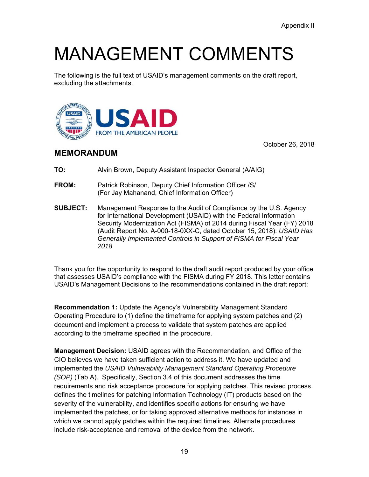# MANAGEMENT COMMENTS

The following is the full text of USAID's management comments on the draft report, excluding the attachments.



October 26, 2018

### **MEMORANDUM**

- **TO:** Alvin Brown, Deputy Assistant Inspector General (A/AIG)
- **FROM:** Patrick Robinson, Deputy Chief Information Officer /S/ (For Jay Mahanand, Chief Information Officer)
- **SUBJECT:** Management Response to the Audit of Compliance by the U.S. Agency for International Development (USAID) with the Federal Information Security Modernization Act (FISMA) of 2014 during Fiscal Year (FY) 2018 (Audit Report No. A-000-18-0XX-C, dated October 15, 2018): *USAID Has Generally Implemented Controls in Support of FISMA for Fiscal Year 2018*

Thank you for the opportunity to respond to the draft audit report produced by your office that assesses USAID's compliance with the FISMA during FY 2018. This letter contains USAID's Management Decisions to the recommendations contained in the draft report:

**Recommendation 1:** Update the Agency's Vulnerability Management Standard Operating Procedure to (1) define the timeframe for applying system patches and (2) document and implement a process to validate that system patches are applied according to the timeframe specified in the procedure.

**Management Decision:** USAID agrees with the Recommendation, and Office of the CIO believes we have taken sufficient action to address it. We have updated and implemented the *USAID Vulnerability Management Standard Operating Procedure (SOP)* (Tab A). Specifically, Section 3.4 of this document addresses the time requirements and risk acceptance procedure for applying patches. This revised process defines the timelines for patching Information Technology (IT) products based on the severity of the vulnerability, and identifies specific actions for ensuring we have implemented the patches, or for taking approved alternative methods for instances in which we cannot apply patches within the required timelines. Alternate procedures include risk-acceptance and removal of the device from the network.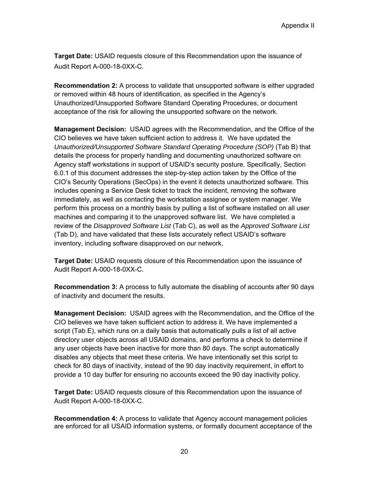**Target Date:** USAID requests closure of this Recommendation upon the issuance of Audit Report A-000-18-0XX-C.

**Recommendation 2:** A process to validate that unsupported software is either upgraded or removed within 48 hours of identification, as specified in the Agency's Unauthorized/Unsupported Software Standard Operating Procedures, or document acceptance of the risk for allowing the unsupported software on the network.

**Management Decision:** USAID agrees with the Recommendation, and the Office of the CIO believes we have taken sufficient action to address it. We have updated the *Unauthorized/Unsupported Software Standard Operating Procedure (SOP)* (Tab B) that details the process for properly handling and documenting unauthorized software on Agency staff workstations in support of USAID's security posture. Specifically, Section 6.0.1 of this document addresses the step-by-step action taken by the Office of the CIO's Security Operations (SecOps) in the event it detects unauthorized software. This includes opening a Service Desk ticket to track the incident, removing the software immediately, as well as contacting the workstation assignee or system manager. We perform this process on a monthly basis by pulling a list of software installed on all user machines and comparing it to the unapproved software list. We have completed a review of the *Disapproved Software List* (Tab C), as well as the *Approved Software List*  (Tab D), and have validated that these lists accurately reflect USAID's software inventory, including software disapproved on our network.

**Target Date:** USAID requests closure of this Recommendation upon the issuance of Audit Report A-000-18-0XX-C.

**Recommendation 3:** A process to fully automate the disabling of accounts after 90 days of inactivity and document the results.

**Management Decision:** USAID agrees with the Recommendation, and the Office of the CIO believes we have taken sufficient action to address it. We have implemented a script (Tab E), which runs on a daily basis that automatically pulls a list of all active directory user objects across all USAID domains, and performs a check to determine if any user objects have been inactive for more than 80 days. The script automatically disables any objects that meet these criteria. We have intentionally set this script to check for 80 days of inactivity, instead of the 90 day inactivity requirement, in effort to provide a 10 day buffer for ensuring no accounts exceed the 90 day inactivity policy.

**Target Date:** USAID requests closure of this Recommendation upon the issuance of Audit Report A-000-18-0XX-C.

**Recommendation 4:** A process to validate that Agency account management policies are enforced for all USAID information systems, or formally document acceptance of the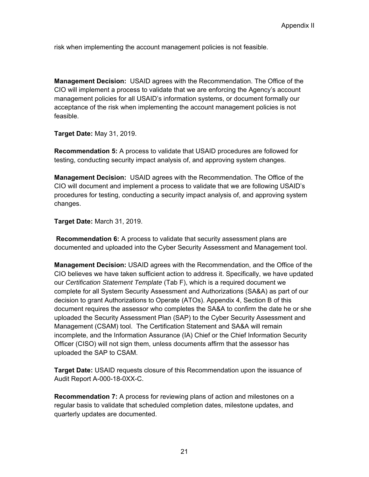risk when implementing the account management policies is not feasible.

**Management Decision:** USAID agrees with the Recommendation. The Office of the CIO will implement a process to validate that we are enforcing the Agency's account management policies for all USAID's information systems, or document formally our acceptance of the risk when implementing the account management policies is not feasible.

**Target Date:** May 31, 2019.

**Recommendation 5:** A process to validate that USAID procedures are followed for testing, conducting security impact analysis of, and approving system changes.

**Management Decision:** USAID agrees with the Recommendation. The Office of the CIO will document and implement a process to validate that we are following USAID's procedures for testing, conducting a security impact analysis of, and approving system changes.

**Target Date:** March 31, 2019.

**Recommendation 6:** A process to validate that security assessment plans are documented and uploaded into the Cyber Security Assessment and Management tool.

**Management Decision:** USAID agrees with the Recommendation, and the Office of the CIO believes we have taken sufficient action to address it. Specifically, we have updated our *Certification Statement Template* (Tab F), which is a required document we complete for all System Security Assessment and Authorizations (SA&A) as part of our decision to grant Authorizations to Operate (ATOs). Appendix 4, Section B of this document requires the assessor who completes the SA&A to confirm the date he or she uploaded the Security Assessment Plan (SAP) to the Cyber Security Assessment and Management (CSAM) tool. The Certification Statement and SA&A will remain incomplete, and the Information Assurance (IA) Chief or the Chief Information Security Officer (CISO) will not sign them, unless documents affirm that the assessor has uploaded the SAP to CSAM.

**Target Date:** USAID requests closure of this Recommendation upon the issuance of Audit Report A-000-18-0XX-C.

**Recommendation 7:** A process for reviewing plans of action and milestones on a regular basis to validate that scheduled completion dates, milestone updates, and quarterly updates are documented.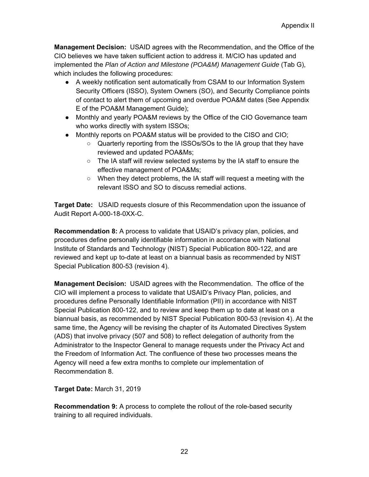**Management Decision:** USAID agrees with the Recommendation, and the Office of the CIO believes we have taken sufficient action to address it. M/CIO has updated and implemented the *Plan of Action and Milestone (POA&M) Management Guide* (Tab G), which includes the following procedures:

- A weekly notification sent automatically from CSAM to our Information System Security Officers (ISSO), System Owners (SO), and Security Compliance points of contact to alert them of upcoming and overdue POA&M dates (See Appendix E of the POA&M Management Guide);
- Monthly and yearly POA&M reviews by the Office of the CIO Governance team who works directly with system ISSOs;
- Monthly reports on POA&M status will be provided to the CISO and CIO;
	- Quarterly reporting from the ISSOs/SOs to the IA group that they have reviewed and updated POA&Ms;
	- The IA staff will review selected systems by the IA staff to ensure the effective management of POA&Ms;
	- When they detect problems, the IA staff will request a meeting with the relevant ISSO and SO to discuss remedial actions.

**Target Date:** USAID requests closure of this Recommendation upon the issuance of Audit Report A-000-18-0XX-C.

**Recommendation 8:** A process to validate that USAID's privacy plan, policies, and procedures define personally identifiable information in accordance with National Institute of Standards and Technology (NIST) Special Publication 800-122, and are reviewed and kept up to-date at least on a biannual basis as recommended by NIST Special Publication 800-53 (revision 4).

**Management Decision:** USAID agrees with the Recommendation. The office of the CIO will implement a process to validate that USAID's Privacy Plan, policies, and procedures define Personally Identifiable Information (PII) in accordance with NIST Special Publication 800-122, and to review and keep them up to date at least on a biannual basis, as recommended by NIST Special Publication 800-53 (revision 4). At the same time, the Agency will be revising the chapter of its Automated Directives System (ADS) that involve privacy (507 and 508) to reflect delegation of authority from the Administrator to the Inspector General to manage requests under the Privacy Act and the Freedom of Information Act. The confluence of these two processes means the Agency will need a few extra months to complete our implementation of Recommendation 8.

**Target Date:** March 31, 2019

**Recommendation 9:** A process to complete the rollout of the role-based security training to all required individuals.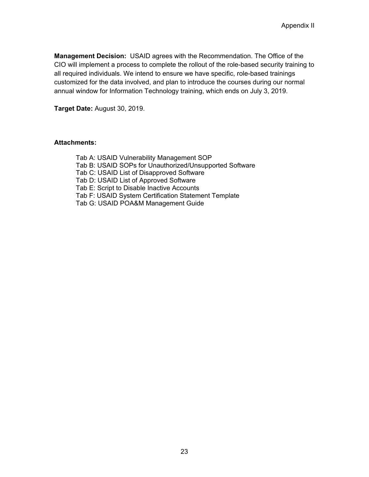**Management Decision:** USAID agrees with the Recommendation. The Office of the CIO will implement a process to complete the rollout of the role-based security training to all required individuals. We intend to ensure we have specific, role-based trainings customized for the data involved, and plan to introduce the courses during our normal annual window for Information Technology training, which ends on July 3, 2019.

**Target Date:** August 30, 2019.

#### **Attachments:**

Tab A: USAID Vulnerability Management SOP Tab B: USAID SOPs for Unauthorized/Unsupported Software Tab C: USAID List of Disapproved Software Tab D: USAID List of Approved Software Tab E: Script to Disable Inactive Accounts Tab F: USAID System Certification Statement Template Tab G: USAID POA&M Management Guide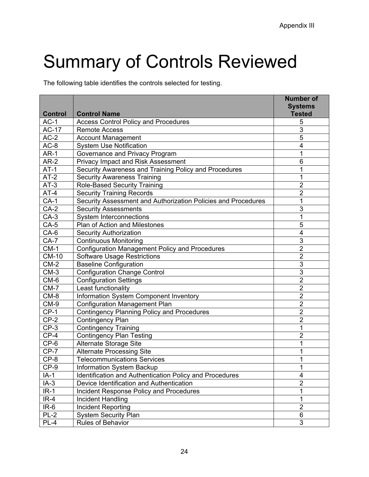# Summary of Controls Reviewed

The following table identifies the controls selected for testing.

| <b>Control</b> | <b>Control Name</b>                                           | <b>Number of</b><br><b>Systems</b><br><b>Tested</b> |
|----------------|---------------------------------------------------------------|-----------------------------------------------------|
| $AC-1$         | <b>Access Control Policy and Procedures</b>                   | 5                                                   |
| <b>AC-17</b>   | <b>Remote Access</b>                                          | 3                                                   |
| $AC-2$         | <b>Account Management</b>                                     | 5                                                   |
| $AC-8$         | <b>System Use Notification</b>                                | 4                                                   |
| $AR-1$         | Governance and Privacy Program                                | 1                                                   |
| $AR-2$         | <b>Privacy Impact and Risk Assessment</b>                     | 6                                                   |
| $AT-1$         | Security Awareness and Training Policy and Procedures         | 1                                                   |
| $AT-2$         | <b>Security Awareness Training</b>                            | 1                                                   |
| $AT-3$         | <b>Role-Based Security Training</b>                           | $\overline{2}$                                      |
| $AT-4$         | <b>Security Training Records</b>                              | $\overline{2}$                                      |
| $CA-1$         | Security Assessment and Authorization Policies and Procedures | 1                                                   |
| $CA-2$         | <b>Security Assessments</b>                                   | 3                                                   |
| $CA-3$         | <b>System Interconnections</b>                                | 1                                                   |
| $CA-5$         | <b>Plan of Action and Milestones</b>                          | 5                                                   |
| $CA-6$         | <b>Security Authorization</b>                                 | 4                                                   |
| $CA-7$         | <b>Continuous Monitoring</b>                                  | 3                                                   |
| $CM-1$         | <b>Configuration Management Policy and Procedures</b>         | $\overline{2}$                                      |
| <b>CM-10</b>   | <b>Software Usage Restrictions</b>                            | $\overline{2}$                                      |
| $CM-2$         | <b>Baseline Configuration</b>                                 | 3                                                   |
| $CM-3$         | <b>Configuration Change Control</b>                           | $\overline{3}$                                      |
| CM-6           | <b>Configuration Settings</b>                                 | $\overline{2}$                                      |
| $CM-7$         | Least functionality                                           | $\overline{2}$                                      |
| $CM-8$         | Information System Component Inventory                        | $\overline{2}$                                      |
| $CM-9$         | <b>Configuration Management Plan</b>                          | $\overline{2}$                                      |
| $CP-1$         | <b>Contingency Planning Policy and Procedures</b>             | $\overline{2}$                                      |
| $CP-2$         | Contingency Plan                                              | $\overline{2}$                                      |
| $CP-3$         | <b>Contingency Training</b>                                   | 1                                                   |
| $CP-4$         | <b>Contingency Plan Testing</b>                               | 2                                                   |
| $CP-6$         | Alternate Storage Site                                        | 1                                                   |
| $CP-7$         | <b>Alternate Processing Site</b>                              | 1                                                   |
| $CP-8$         | <b>Telecommunications Services</b>                            | 1                                                   |
| $CP-9$         | Information System Backup                                     | 1                                                   |
| $IA-1$         | Identification and Authentication Policy and Procedures       | 4                                                   |
| $IA-3$         | Device Identification and Authentication                      | $\overline{2}$                                      |
| $IR-1$         | Incident Response Policy and Procedures                       | 1                                                   |
| $IR-4$         | Incident Handling                                             | 1                                                   |
| $IR-6$         | Incident Reporting                                            | $\overline{2}$                                      |
| $PL-2$         | <b>System Security Plan</b>                                   | 6                                                   |
| $PL-4$         | Rules of Behavior                                             | 3                                                   |